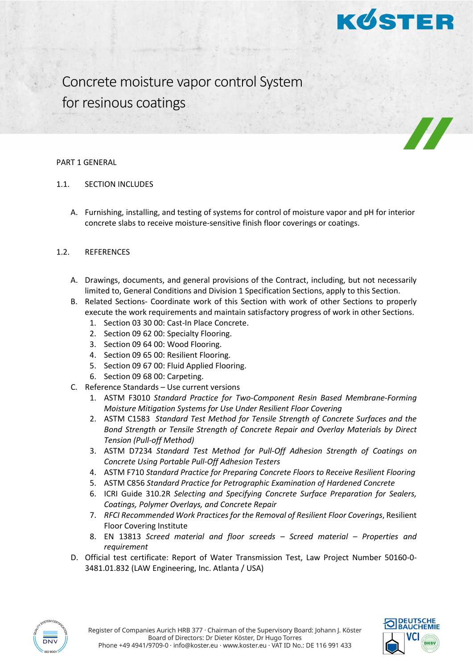

Concrete moisture vapor control System for resinous coatings

#### PART 1 GENERAL

- 1.1. SECTION INCLUDES
	- A. Furnishing, installing, and testing of systems for control of moisture vapor and pH for interior concrete slabs to receive moisture-sensitive finish floor coverings or coatings.

## 1.2. REFERENCES

- A. Drawings, documents, and general provisions of the Contract, including, but not necessarily limited to, General Conditions and Division 1 Specification Sections, apply to this Section.
- B. Related Sections- Coordinate work of this Section with work of other Sections to properly execute the work requirements and maintain satisfactory progress of work in other Sections.
	- 1. Section 03 30 00: Cast-In Place Concrete.
	- 2. Section 09 62 00: Specialty Flooring.
	- 3. Section 09 64 00: Wood Flooring.
	- 4. Section 09 65 00: Resilient Flooring.
	- 5. Section 09 67 00: Fluid Applied Flooring.
	- 6. Section 09 68 00: Carpeting.
- C. Reference Standards Use current versions
	- 1. ASTM F3010 *Standard Practice for Two-Component Resin Based Membrane-Forming Moisture Mitigation Systems for Use Under Resilient Floor Covering*
	- 2. ASTM C1583 *Standard Test Method for Tensile Strength of Concrete Surfaces and the Bond Strength or Tensile Strength of Concrete Repair and Overlay Materials by Direct Tension (Pull-off Method)*
	- 3. ASTM D7234 *Standard Test Method for Pull-Off Adhesion Strength of Coatings on Concrete Using Portable Pull-Off Adhesion Testers*
	- 4. ASTM F710 *Standard Practice for Preparing Concrete Floors to Receive Resilient Flooring*
	- 5. ASTM C856 *Standard Practice for Petrographic Examination of Hardened Concrete*
	- 6. ICRI Guide 310.2R *Selecting and Specifying Concrete Surface Preparation for Sealers, Coatings, Polymer Overlays, and Concrete Repair*
	- 7. *RFCI Recommended Work Practices for the Removal of Resilient Floor Coverings*, Resilient Floor Covering Institute
	- 8. EN 13813 *Screed material and floor screeds – Screed material – Properties and requirement*
- D. Official test certificate: Report of Water Transmission Test, Law Project Number 50160-0- 3481.01.832 (LAW Engineering, Inc. Atlanta / USA)





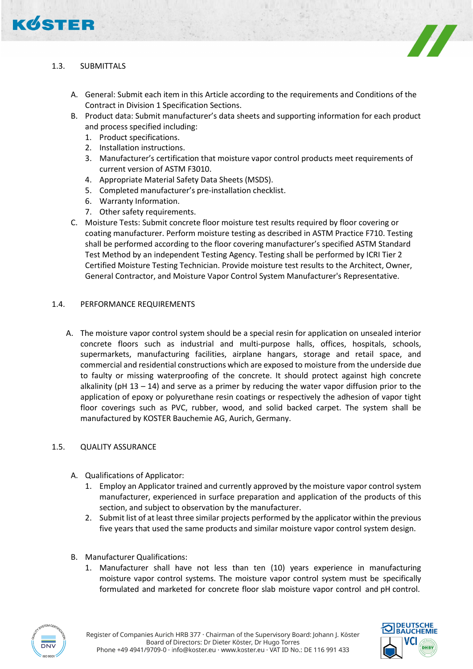



- A. General: Submit each item in this Article according to the requirements and Conditions of the Contract in Division 1 Specification Sections.
- B. Product data: Submit manufacturer's data sheets and supporting information for each product and process specified including:
	- 1. Product specifications.
	- 2. Installation instructions.
	- 3. Manufacturer's certification that moisture vapor control products meet requirements of current version of ASTM F3010.
	- 4. Appropriate Material Safety Data Sheets (MSDS).
	- 5. Completed manufacturer's pre-installation checklist.
	- 6. Warranty Information.
	- 7. Other safety requirements.
- C. Moisture Tests: Submit concrete floor moisture test results required by floor covering or coating manufacturer. Perform moisture testing as described in ASTM Practice F710. Testing shall be performed according to the floor covering manufacturer's specified ASTM Standard Test Method by an independent Testing Agency. Testing shall be performed by ICRI Tier 2 Certified Moisture Testing Technician. Provide moisture test results to the Architect, Owner, General Contractor, and Moisture Vapor Control System Manufacturer's Representative.

#### 1.4. PERFORMANCE REQUIREMENTS

A. The moisture vapor control system should be a special resin for application on unsealed interior concrete floors such as industrial and multi-purpose halls, offices, hospitals, schools, supermarkets, manufacturing facilities, airplane hangars, storage and retail space, and commercial and residential constructions which are exposed to moisture from the underside due to faulty or missing waterproofing of the concrete. It should protect against high concrete alkalinity ( $pH$  13 – 14) and serve as a primer by reducing the water vapor diffusion prior to the application of epoxy or polyurethane resin coatings or respectively the adhesion of vapor tight floor coverings such as PVC, rubber, wood, and solid backed carpet. The system shall be manufactured by KOSTER Bauchemie AG, Aurich, Germany.

#### 1.5. QUALITY ASSURANCE

- A. Qualifications of Applicator:
	- 1. Employ an Applicator trained and currently approved by the moisture vapor control system manufacturer, experienced in surface preparation and application of the products of this section, and subject to observation by the manufacturer.
	- 2. Submit list of at least three similar projects performed by the applicator within the previous five years that used the same products and similar moisture vapor control system design.
- B. Manufacturer Qualifications:
	- 1. Manufacturer shall have not less than ten (10) years experience in manufacturing moisture vapor control systems. The moisture vapor control system must be specifically formulated and marketed for concrete floor slab moisture vapor control and pH control.



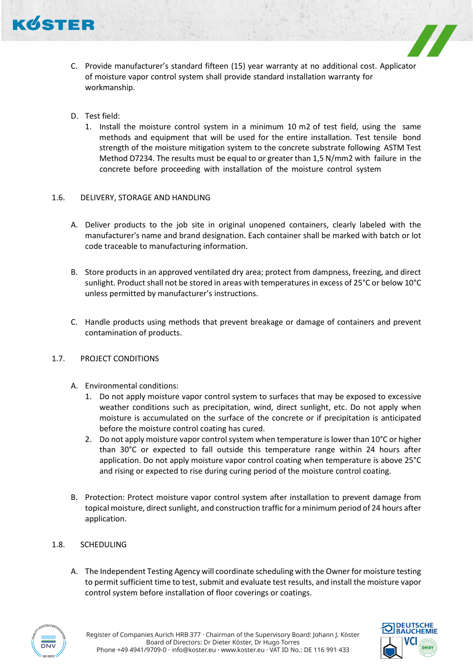

- C. Provide manufacturer's standard fifteen (15) year warranty at no additional cost. Applicator of moisture vapor control system shall provide standard installation warranty for workmanship.
- D. Test field:
	- 1. Install the moisture control system in a minimum 10 m2 of test field, using the same methods and equipment that will be used for the entire installation. Test tensile bond strength of the moisture mitigation system to the concrete substrate following ASTM Test Method D7234. The results must be equal to or greater than 1,5 N/mm2 with failure in the concrete before proceeding with installation of the moisture control system

## 1.6. DELIVERY, STORAGE AND HANDLING

- A. Deliver products to the job site in original unopened containers, clearly labeled with the manufacturer's name and brand designation. Each container shall be marked with batch or lot code traceable to manufacturing information.
- B. Store products in an approved ventilated dry area; protect from dampness, freezing, and direct sunlight. Product shall not be stored in areas with temperatures in excess of 25°C or below 10°C unless permitted by manufacturer's instructions.
- C. Handle products using methods that prevent breakage or damage of containers and prevent contamination of products.

#### 1.7. PROJECT CONDITIONS

- A. Environmental conditions:
	- Do not apply moisture vapor control system to surfaces that may be exposed to excessive weather conditions such as precipitation, wind, direct sunlight, etc. Do not apply when moisture is accumulated on the surface of the concrete or if precipitation is anticipated before the moisture control coating has cured.
	- 2. Do not apply moisture vapor control system when temperature is lower than 10°C or higher than 30°C or expected to fall outside this temperature range within 24 hours after application. Do not apply moisture vapor control coating when temperature is above 25°C and rising or expected to rise during curing period of the moisture control coating.
- B. Protection: Protect moisture vapor control system after installation to prevent damage from topical moisture, direct sunlight, and construction traffic for a minimum period of 24 hours after application.
- 1.8. SCHEDULING
	- A. The Independent Testing Agency will coordinate scheduling with the Owner for moisture testing to permit sufficient time to test, submit and evaluate test results, and install the moisture vapor control system before installation of floor coverings or coatings.



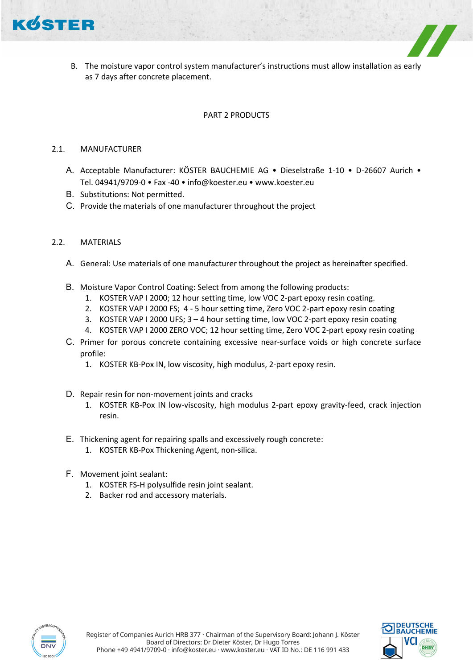

B. The moisture vapor control system manufacturer's instructions must allow installation as early as 7 days after concrete placement.

## PART 2 PRODUCTS

## 2.1. MANUFACTURER

- A. Acceptable Manufacturer: KÖSTER BAUCHEMIE AG Dieselstraße 1-10 D-26607 Aurich Tel. 04941/9709-0 • Fax -40 • info@koester.eu • www.koester.eu
- B. Substitutions: Not permitted.
- C. Provide the materials of one manufacturer throughout the project

## 2.2. MATERIALS

- A. General: Use materials of one manufacturer throughout the project as hereinafter specified.
- B. Moisture Vapor Control Coating: Select from among the following products:
	- 1. KOSTER VAP I 2000; 12 hour setting time, low VOC 2-part epoxy resin coating.
	- 2. KOSTER VAP I 2000 FS; 4 5 hour setting time, Zero VOC 2-part epoxy resin coating
	- 3. KOSTER VAP I 2000 UFS; 3 4 hour setting time, low VOC 2-part epoxy resin coating
	- 4. KOSTER VAP I 2000 ZERO VOC; 12 hour setting time, Zero VOC 2-part epoxy resin coating
- C. Primer for porous concrete containing excessive near-surface voids or high concrete surface profile:
	- 1. KOSTER KB-Pox IN, low viscosity, high modulus, 2-part epoxy resin.
- D. Repair resin for non-movement joints and cracks
	- 1. KOSTER KB-Pox IN low-viscosity, high modulus 2-part epoxy gravity-feed, crack injection resin.
- E. Thickening agent for repairing spalls and excessively rough concrete:
	- 1. KOSTER KB-Pox Thickening Agent, non-silica.
- F. Movement joint sealant:
	- 1. KOSTER FS-H polysulfide resin joint sealant.
	- 2. Backer rod and accessory materials.



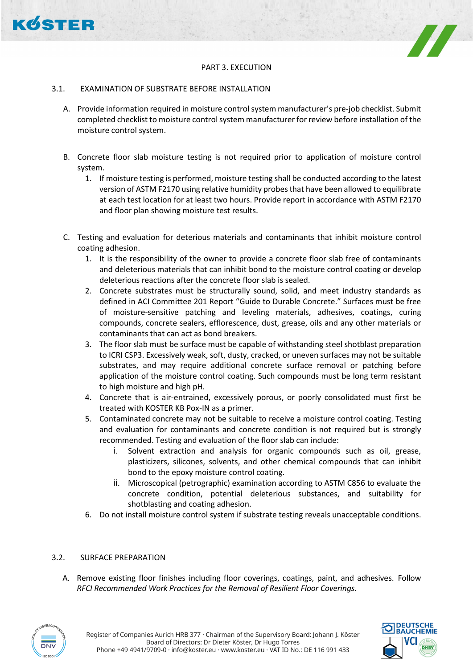



#### 3.1. EXAMINATION OF SUBSTRATE BEFORE INSTALLATION

- A. Provide information required in moisture control system manufacturer's pre-job checklist. Submit completed checklist to moisture control system manufacturer for review before installation of the moisture control system.
- B. Concrete floor slab moisture testing is not required prior to application of moisture control system.
	- 1. If moisture testing is performed, moisture testing shall be conducted according to the latest version of ASTM F2170 using relative humidity probes that have been allowed to equilibrate at each test location for at least two hours. Provide report in accordance with ASTM F2170 and floor plan showing moisture test results.
- C. Testing and evaluation for deterious materials and contaminants that inhibit moisture control coating adhesion.
	- 1. It is the responsibility of the owner to provide a concrete floor slab free of contaminants and deleterious materials that can inhibit bond to the moisture control coating or develop deleterious reactions after the concrete floor slab is sealed.
	- 2. Concrete substrates must be structurally sound, solid, and meet industry standards as defined in ACI Committee 201 Report "Guide to Durable Concrete." Surfaces must be free of moisture-sensitive patching and leveling materials, adhesives, coatings, curing compounds, concrete sealers, efflorescence, dust, grease, oils and any other materials or contaminants that can act as bond breakers.
	- 3. The floor slab must be surface must be capable of withstanding steel shotblast preparation to ICRI CSP3. Excessively weak, soft, dusty, cracked, or uneven surfaces may not be suitable substrates, and may require additional concrete surface removal or patching before application of the moisture control coating. Such compounds must be long term resistant to high moisture and high pH.
	- 4. Concrete that is air-entrained, excessively porous, or poorly consolidated must first be treated with KOSTER KB Pox-IN as a primer.
	- 5. Contaminated concrete may not be suitable to receive a moisture control coating. Testing and evaluation for contaminants and concrete condition is not required but is strongly recommended. Testing and evaluation of the floor slab can include:
		- i. Solvent extraction and analysis for organic compounds such as oil, grease, plasticizers, silicones, solvents, and other chemical compounds that can inhibit bond to the epoxy moisture control coating.
		- ii. Microscopical (petrographic) examination according to ASTM C856 to evaluate the concrete condition, potential deleterious substances, and suitability for shotblasting and coating adhesion.
	- 6. Do not install moisture control system if substrate testing reveals unacceptable conditions.

#### 3.2. SURFACE PREPARATION

A. Remove existing floor finishes including floor coverings, coatings, paint, and adhesives. Follow *RFCI Recommended Work Practices for the Removal of Resilient Floor Coverings.*



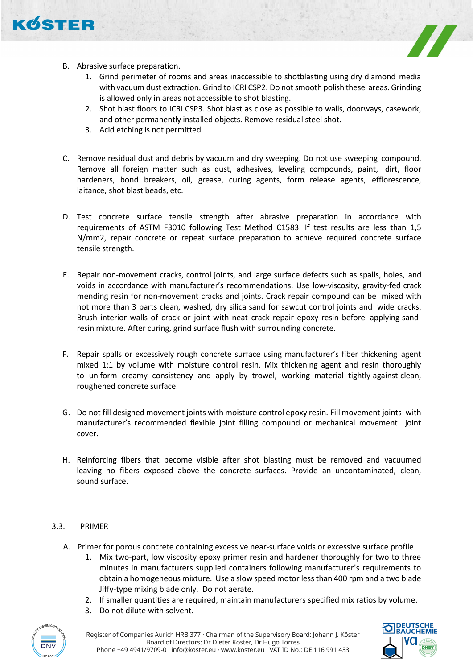

KØSTER

- 1. Grind perimeter of rooms and areas inaccessible to shotblasting using dry diamond media with vacuum dust extraction. Grind to ICRI CSP2. Do not smooth polish these areas. Grinding is allowed only in areas not accessible to shot blasting.
- 2. Shot blast floors to ICRI CSP3. Shot blast as close as possible to walls, doorways, casework, and other permanently installed objects. Remove residual steel shot.
- 3. Acid etching is not permitted.
- C. Remove residual dust and debris by vacuum and dry sweeping. Do not use sweeping compound. Remove all foreign matter such as dust, adhesives, leveling compounds, paint, dirt, floor hardeners, bond breakers, oil, grease, curing agents, form release agents, efflorescence, laitance, shot blast beads, etc.
- D. Test concrete surface tensile strength after abrasive preparation in accordance with requirements of ASTM F3010 following Test Method C1583. If test results are less than 1,5 N/mm2, repair concrete or repeat surface preparation to achieve required concrete surface tensile strength.
- E. Repair non-movement cracks, control joints, and large surface defects such as spalls, holes, and voids in accordance with manufacturer's recommendations. Use low-viscosity, gravity-fed crack mending resin for non-movement cracks and joints. Crack repair compound can be mixed with not more than 3 parts clean, washed, dry silica sand for sawcut control joints and wide cracks. Brush interior walls of crack or joint with neat crack repair epoxy resin before applying sandresin mixture. After curing, grind surface flush with surrounding concrete.
- F. Repair spalls or excessively rough concrete surface using manufacturer's fiber thickening agent mixed 1:1 by volume with moisture control resin. Mix thickening agent and resin thoroughly to uniform creamy consistency and apply by trowel, working material tightly against clean, roughened concrete surface.
- G. Do not fill designed movement joints with moisture control epoxy resin. Fill movement joints with manufacturer's recommended flexible joint filling compound or mechanical movement joint cover.
- H. Reinforcing fibers that become visible after shot blasting must be removed and vacuumed leaving no fibers exposed above the concrete surfaces. Provide an uncontaminated, clean, sound surface.

# 3.3. PRIMER

- A. Primer for porous concrete containing excessive near-surface voids or excessive surface profile.
	- 1. Mix two-part, low viscosity epoxy primer resin and hardener thoroughly for two to three minutes in manufacturers supplied containers following manufacturer's requirements to obtain a homogeneous mixture. Use a slow speed motor less than 400 rpm and a two blade Jiffy-type mixing blade only. Do not aerate.
	- 2. If smaller quantities are required, maintain manufacturers specified mix ratios by volume.
	- 3. Do not dilute with solvent.



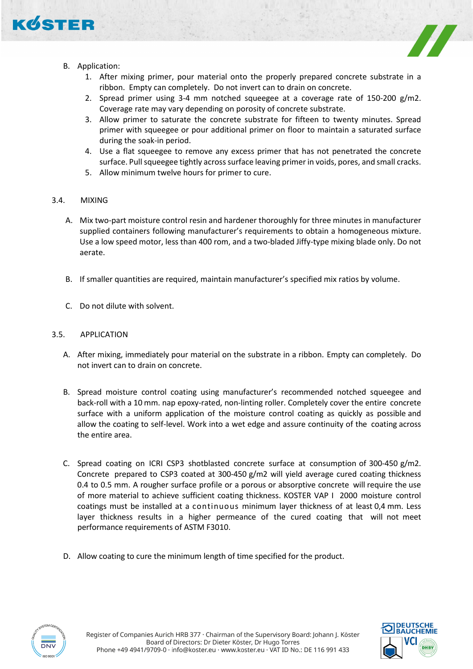

KOSTER

- 1. After mixing primer, pour material onto the properly prepared concrete substrate in a ribbon. Empty can completely. Do not invert can to drain on concrete.
- 2. Spread primer using 3-4 mm notched squeegee at a coverage rate of 150-200 g/m2. Coverage rate may vary depending on porosity of concrete substrate.
- 3. Allow primer to saturate the concrete substrate for fifteen to twenty minutes. Spread primer with squeegee or pour additional primer on floor to maintain a saturated surface during the soak-in period.
- 4. Use a flat squeegee to remove any excess primer that has not penetrated the concrete surface. Pull squeegee tightly across surface leaving primer in voids, pores, and small cracks.
- 5. Allow minimum twelve hours for primer to cure.
- 3.4. MIXING
	- A. Mix two-part moisture control resin and hardener thoroughly for three minutes in manufacturer supplied containers following manufacturer's requirements to obtain a homogeneous mixture. Use a low speed motor, less than 400 rom, and a two-bladed Jiffy-type mixing blade only. Do not aerate.
	- B. If smaller quantities are required, maintain manufacturer's specified mix ratios by volume.
	- C. Do not dilute with solvent.

#### 3.5. APPLICATION

- A. After mixing, immediately pour material on the substrate in a ribbon. Empty can completely. Do not invert can to drain on concrete.
- B. Spread moisture control coating using manufacturer's recommended notched squeegee and back-roll with a 10 mm. nap epoxy-rated, non-linting roller. Completely cover the entire concrete surface with a uniform application of the moisture control coating as quickly as possible and allow the coating to self-level. Work into a wet edge and assure continuity of the coating across the entire area.
- C. Spread coating on ICRI CSP3 shotblasted concrete surface at consumption of 300-450 g/m2. Concrete prepared to CSP3 coated at 300-450 g/m2 will yield average cured coating thickness 0.4 to 0.5 mm. A rougher surface profile or a porous or absorptive concrete will require the use of more material to achieve sufficient coating thickness. KOSTER VAP I 2000 moisture control coatings must be installed at a continuous minimum layer thickness of at least 0,4 mm. Less layer thickness results in a higher permeance of the cured coating that will not meet performance requirements of ASTM F3010.
- D. Allow coating to cure the minimum length of time specified for the product.